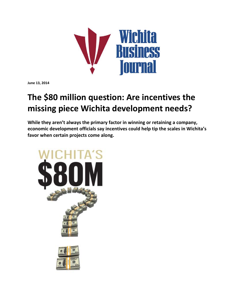

**June 13, 2014**

## **The \$80 million question: Are incentives the missing piece Wichita development needs?**

**While they aren't always the primary factor in winning or retaining a company, economic development officials say incentives could help tip the scales in Wichita's favor when certain projects come along.**

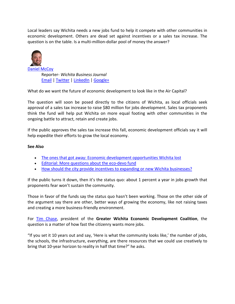Local leaders say Wichita needs a new jobs fund to help it compete with other communities in economic development. Others are dead set against incentives or a sales tax increase. The question is on the table. Is a multi-million-dollar pool of money the answer?



Reporter‐ *Wichita Business Journal* Email | Twitter | LinkedIn | Google+

What do we want the future of economic development to look like in the Air Capital?

The question will soon be posed directly to the citizens of Wichita, as local officials seek approval of a sales tax increase to raise \$80 million for jobs development. Sales tax proponents think the fund will help put Wichita on more equal footing with other communities in the ongoing battle to attract, retain and create jobs.

If the public approves the sales tax increase this fall, economic development officials say it will help expedite their efforts to grow the local economy.

## **See Also**

- The ones that got away: Economic development opportunities Wichita lost
- Editorial: More questions about the eco-devo fund
- How should the city provide incentives to expanding or new Wichita businesses?

If the public turns it down, then it's the status quo: about 1 percent a year in jobs growth that proponents fear won't sustain the community.

Those in favor of the funds say the status quo hasn't been working. Those on the other side of the argument say there are other, better ways of growing the economy, like not raising taxes and creating a more business‐friendly environment.

For Tim Chase, president of the **Greater Wichita Economic Development Coalition**, the question is a matter of how fast the citizenry wants more jobs.

"If you set it 10 years out and say, 'Here is what the community looks like,' the number of jobs, the schools, the infrastructure, everything, are there resources that we could use creatively to bring that 10‐year horizon to reality in half that time?" he asks.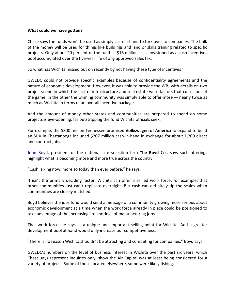## **What could we have gotten?**

Chase says the funds won't be used as simply cash‐in‐hand to fork over to companies. The bulk of the money will be used for things like buildings and land or skills training related to specific projects. Only about 20 percent of the fund  $-$  \$16 million  $-$  is envisioned as a cash incentives pool accumulated over the five‐year life of any approved sales tax.

So what has Wichita missed out on recently by not having these type of incentives?

GWEDC could not provide specific examples because of confidentiality agreements and the nature of economic development. However, it was able to provide the WBJ with details on two projects: one in which the lack of infrastructure and real estate were factors that cut us out of the game; in the other the winning community was simply able to offer more — nearly twice as much as Wichita in terms of an overall incentive package.

And the amount of money other states and communities are prepared to spend on some projects is eye‐opening, far outstripping the fund Wichita officials seek.

For example, the \$300 million Tennessee promised **Volkswagen of America** to expand to build an SUV in Chattanooga included \$207 million cash-in-hand in exchange for about 1,200 direct and contract jobs.

John Boyd, president of the national site selection firm **The Boyd** Co., says such offerings highlight what is becoming more and more true across the country.

"Cash is king now, more so today than ever before," he says.

It isn't the primary deciding factor. Wichita can offer a skilled work force, for example, that other communities just can't replicate overnight. But cash can definitely tip the scales when communities are closely matched.

Boyd believes the jobs fund would send a message of a community growing more serious about economic development at a time when the work force already in place could be positioned to take advantage of the increasing "re‐shoring" of manufacturing jobs.

That work force, he says, is a unique and important selling point for Wichita. And a greater development pool at hand would only increase our competitiveness.

"There is no reason Wichita shouldn't be attracting and competing for companies," Boyd says.

GWEDC's numbers on the level of business interest in Wichita over the past six years, which Chase says represent inquiries only, show the Air Capital was at least being considered for a variety of projects. Some of those located elsewhere, some were likely fishing.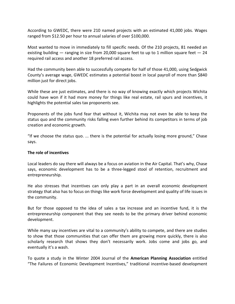According to GWEDC, there were 210 named projects with an estimated 41,000 jobs. Wages ranged from \$12.50 per hour to annual salaries of over \$100,000.

Most wanted to move in immediately to fill specific needs. Of the 210 projects, 81 needed an existing building  $-$  ranging in size from 20,000 square feet to up to 1 million square feet  $-24$ required rail access and another 18 preferred rail access.

Had the community been able to successfully compete for half of those 41,000, using Sedgwick County's average wage, GWEDC estimates a potential boost in local payroll of more than \$840 million just for direct jobs.

While these are just estimates, and there is no way of knowing exactly which projects Wichita could have won if it had more money for things like real estate, rail spurs and incentives, it highlights the potential sales tax proponents see.

Proponents of the jobs fund fear that without it, Wichita may not even be able to keep the status quo and the community risks falling even further behind its competitors in terms of job creation and economic growth.

"If we choose the status quo. ... there is the potential for actually losing more ground," Chase says.

## **The role of incentives**

Local leaders do say there will always be a focus on aviation in the Air Capital. That's why, Chase says, economic development has to be a three-legged stool of retention, recruitment and entrepreneurship.

He also stresses that incentives can only play a part in an overall economic development strategy that also has to focus on things like work force development and quality of life issues in the community.

But for those opposed to the idea of sales a tax increase and an incentive fund, it is the entrepreneurship component that they see needs to be the primary driver behind economic development.

While many say incentives are vital to a community's ability to compete, and there are studies to show that those communities that can offer them are growing more quickly, there is also scholarly research that shows they don't necessarily work. Jobs come and jobs go, and eventually it's a wash.

To quote a study in the Winter 2004 Journal of the **American Planning Association** entitled "The Failures of Economic Development Incentives," traditional incentive‐based development